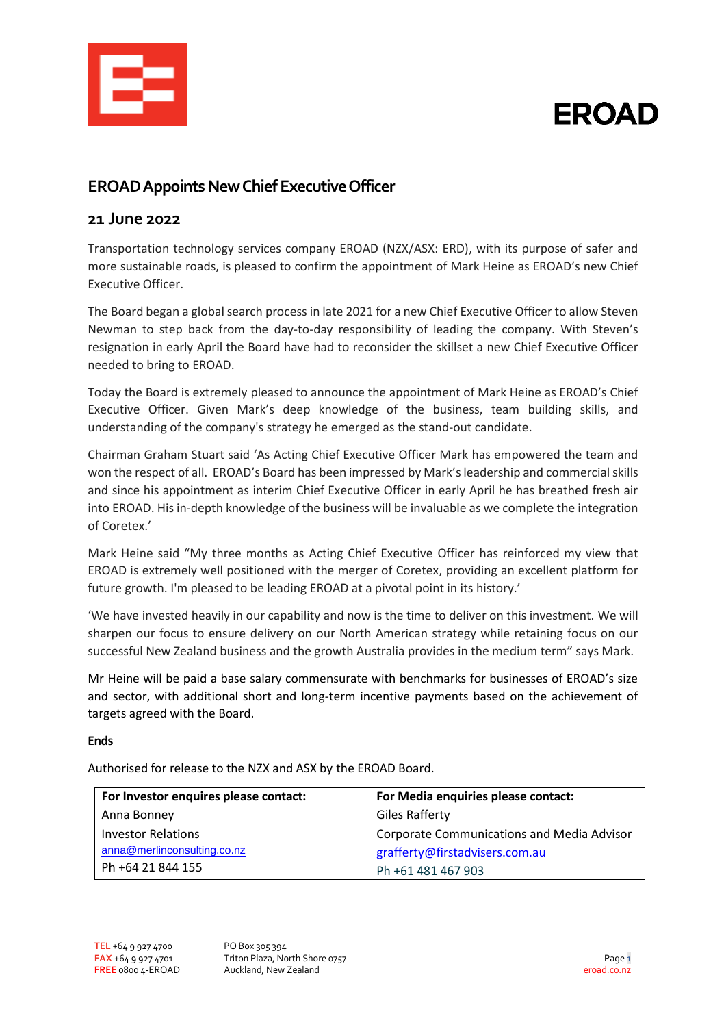

# **EROAD**

## **EROAD Appoints New ChiefExecutive Officer**

### **21 June 2022**

Transportation technology services company EROAD (NZX/ASX: ERD), with its purpose of safer and more sustainable roads, is pleased to confirm the appointment of Mark Heine as EROAD's new Chief Executive Officer.

The Board began a global search process in late 2021 for a new Chief Executive Officer to allow Steven Newman to step back from the day-to-day responsibility of leading the company. With Steven's resignation in early April the Board have had to reconsider the skillset a new Chief Executive Officer needed to bring to EROAD.

Today the Board is extremely pleased to announce the appointment of Mark Heine as EROAD's Chief Executive Officer. Given Mark's deep knowledge of the business, team building skills, and understanding of the company's strategy he emerged as the stand-out candidate.

Chairman Graham Stuart said 'As Acting Chief Executive Officer Mark has empowered the team and won the respect of all. EROAD's Board has been impressed by Mark'sleadership and commercial skills and since his appointment as interim Chief Executive Officer in early April he has breathed fresh air into EROAD. His in-depth knowledge of the business will be invaluable as we complete the integration of Coretex.'

Mark Heine said "My three months as Acting Chief Executive Officer has reinforced my view that EROAD is extremely well positioned with the merger of Coretex, providing an excellent platform for future growth. I'm pleased to be leading EROAD at a pivotal point in its history.'

'We have invested heavily in our capability and now is the time to deliver on this investment. We will sharpen our focus to ensure delivery on our North American strategy while retaining focus on our successful New Zealand business and the growth Australia provides in the medium term" says Mark.

Mr Heine will be paid a base salary commensurate with benchmarks for businesses of EROAD's size and sector, with additional short and long-term incentive payments based on the achievement of targets agreed with the Board.

#### **Ends**

Authorised for release to the NZX and ASX by the EROAD Board.

| For Investor enquires please contact: | For Media enquiries please contact:               |
|---------------------------------------|---------------------------------------------------|
| Anna Bonney                           | <b>Giles Rafferty</b>                             |
| <b>Investor Relations</b>             | <b>Corporate Communications and Media Advisor</b> |
| anna@merlinconsulting.co.nz           | grafferty@firstadvisers.com.au                    |
| Ph +64 21 844 155                     | Ph +61 481 467 903                                |